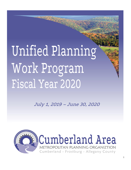# Unified Planning Work Program Fiscal Year 2020

July 1, 2019 – June 30, 2020

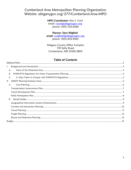# Cumberland Area Metropolitan Planning Organization Website: alleganygov.org/277/Cumberland-Area-MPO

#### MPO Coordinator: Roy S. Cool

email: rcool@alleganygov.org phone: (301)-722-6360

#### Planner: Siera Wigfield

email: swigfield@alleganygov.org phone: (301)-876-9563

Allegany County Office Complex 701 Kelly Road Cumberland, MD 21502-2803

## **Table of Contents**

<span id="page-1-0"></span>

| l. |  |
|----|--|
| А. |  |
| B. |  |
| C. |  |
|    |  |
| А. |  |
|    |  |
|    |  |
|    |  |
|    |  |
|    |  |
|    |  |
|    |  |
|    |  |
|    |  |
|    |  |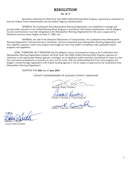# RESOLUTION

#### No. 19- 11

Resolution endorsing the Draft Fiscal Year 2020 Unified Planning Work Program, approving its submission to both the Federal Transit Administration and the Federal Highway Administration.

WHEREAS, the Cumberland Area Metropolitan Planning Organization was established to manage and provide policy direction to the Unified Planning Work Program in accordance with Federal requirements, and the Allegany County Commissioners have been designated as the Metropolitan Planning Organization for this area as approved by Maryland Governor Harry Hughes on May 17, 1982; and

WHEREAS, the staff of the Maryland Department of Transportation, the Cumberland Area Metropolitan Planning Organization Technical Advisory Committee, and the Cumberland Area Metropolitan Planning Organization staff have together prepared a draft work program and budget for Fiscal Year 2020 in compliance with applicable Federal programs and regulations.

NOW, THEREFORE, BE IT RESOLVED that the Allegany County Commissioners acting as the Cumberland Area Metropolitan Planning Organization endorses the Draft Fiscal Year 2020 Unified Planning Work Program; approves its submission to the appropriate Federal agencies, contingent on no significant public comment; and declares its intent to enter into contractual arrangements as necessary to carry out the work, with the understanding that if the work program and budget is revised through negotiations with Federal funding agencies it will be subject to approval by the Cumberland Area Metropolitan Planning Organization.

#### ADOPTED THIS 20th day of June, 2019

#### COUNTY COMMISSIONERS OF ALLEGANY COUNTY, MARYLAND

asah C Shade Dresident  $\sum_{i=1}^{\infty}$  Shade, President

 $\frac{1}{2}$ 

Creade V. Brodie, Jr., Commissioner

 $\overline{\phantom{a}}$ 

avid J. Caporale, Commissioner

 $A^T$ \_\_\_\_\_\_\_\_\_\_\_\_\_\_\_\_\_\_\_\_\_\_\_\_\_\_\_\_\_\_

andon S. Butler County Administrator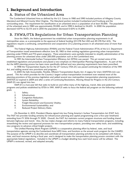# <span id="page-3-0"></span>I. Background and Introduction

# <span id="page-3-1"></span>A. Status of the Urbanized Area

The Cumberland Urbanized Area as defined by the U.S. Census in 1980 and 1990 included portions of Allegany County Maryland and Mineral County West Virginia. The Maryland portion included Cumberland and Frostburg and the surrounding areas. The requirement for classification as an urbanized area is a population of at least 50,000. The population of the urbanized area in 1980 was approximately 59,000, and in 1990 it declined to 54,655. In 2000 the population decreased 4.87% to 52,115 and in 2010 the population decreased 0.42% to 51,899.

# <span id="page-3-2"></span>B. FHWA/FTA Regulations for Urban Transportation Planning

Since the 1960's, the federal government has established urban transportation planning requirements in all metropolitan areas, as a prerequisite to the approval of federal funding (23 CFR Part 450 and 49 CFR Part 613). The regulations require a continuing, comprehensive and cooperative (3-C) planning process in all urbanized areas of more than 50,000.

The Federal Highway Administration (FHWA) and the Federal Transit Administration (FTA) of the U.S. Department of Transportation issued amendments effective June 30, 1983 to their existing regulations governing urban transportation planning under FHWA and FTA grant programs. These amendments were partially intended to simplify administration of the planning process for urbanized areas under 200,000 population such as the Cumberland area.

In 1991 the Intermodal Surface Transportation Efficiency Act (ISTEA) was passed. This act revised some of the established regulations and procedures and placed a new emphasis on Metropolitan Planning Organizations. As part of this Act the MPO planning process has been more specifically defined and new planning requirements have been prescribed.

In 1998 the Transportation Equity Act for the  $21<sup>st</sup>$  Century (TEA-21) was passed continuing the initiatives of the 1991 Act, and adding several new provisions and programs.

In 2005 the Safe Accountable, Flexible, Efficient Transportation Equity Act: A Legacy for Users (SAFETEA-LU) was passed. This Act which provides for the Country's largest surface transportation investment ever retained most of the planning provisions of the previous legislation and added several new metropolitan transportation planning requirements. SAFETEA‐LU expired in 2009 and after a series of Continuing Resolutions, Moving Ahead for Progress in the 21st Century (MAP‐21) was signed into law.

MAP-21 is a two-year bill that seeks to build on and refine many of the highway, transit, bike and pedestrian programs and policies established by ISTEA in 1991. MAP-21 seeks to focus the federal aid program on the following national goals:

- 1. Safety;
- 2. Infrastructure;
- 3. Congestion Reduction;
- 4. System Reliability;
- 5. Freight Movement and Economic Vitality;
- 6. Environmental Sustainability; and
- 7. Reduced Project Delivery Dates.

On December 4, 2015, President Obama signed into law Fixing America's Surface Transportation Act (FAST Act). The FAST Act provides funding certainty for infrastructure planning and capital programming over a five-year timeframe extending from FY 2016 through FY 2020. Overall, the FAST Act maintains current program structures and funding shared between highways and transit. Also, the law makes changes and reforms to many Federal transportation programs, including, streamlining the review and approval processes for new transportation projects, providing new safety tools, and establishing new programs to advance critical freight projects.

This Unified Planning Work Program (UPWP) is a cooperative planning effort by federal, state, and local transportation agencies serving the Cumberland Area MPO Area, and functions as the annual work program for the CAMPO. The purpose of the UPWP is to describe and coordinate all transportation planning activities to be completed with federal, state, and local resources during a fiscal year, and is designed to make the transportation planning process consistent with the appropriate federal regulations. Included in the UPWP is a budget detailing how each fund source will be utilized. The UPWP is reviewed, revised, and adopted annually.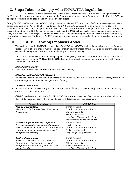# <span id="page-4-0"></span>C. Steps Taken to Comply with FHWA/FTA Regulations

The Allegany County Commissioners, acting as the Cumberland Area Metropolitan Planning Organization (MPO), annually approve and amend as appropriate the Transportation Improvement Program as required by U.S. DOT, to be eligible to receive funding for the region's transportation projects

During FY 2018, Staff worked with MDOT to adopt the state of Maryland Transportation Performance Management Safety Targets that were set on August 31, 2017. On January 18, 2018, the MPO adopted these state safety targets. Staff will continue to work in FY 2019 to integrate performance-based plans and processes, including incorporation of PM2 (bridge and pavement condition) and PM3 (system performance, freight and CMAQ) highway performance measure targets and transit safety performance measures targets. Cumberland MPO is on schedule by setting the PM2 and PM3 performance targets by the due date of November 20, 2018. In FY 2019 these performance measures were updated and acknowledged in a letter to MDOT.

# <span id="page-4-1"></span>II. USDOT Planning Emphasis Areas

The work tasks within this UPWP are reflective of CAMPO and MDOT's work to the establishment of performance targets, the use of performance measures to track progress towards meeting those targets, and a performance driven outcome-based approach to transportation planning and decision making.

USDOT has published circular on Planning Emphasis Areas (PEAs). The PEAs are topical areas that USDOT wants to place emphasis on as the MPOs and State DOTs develop their respective planning work programs. The PEAs for Federal FY 2019 include:

#### Map-21 Implementation

• *Transition to Performance Based Planning and Programming.* 

#### Models of Regional Planning Cooperation

• *Promote cooperation and coordination across MPO boundaries and across State boundaries where appropriate to ensure a regional approach to transportation planning.* 

#### Ladders of Opportunity

• *Access to essential services – as part of the transportation planning process, identify transportation connectivity gaps in access and essential services.*

CAMPO has developed tasks in this FY2020 UPWP that address each of the PEAs as shown in the table below. A detailed description of each task is included under each task heading of this document.

| <b>Planning Emphasis Area</b>                   | <b>CAMPO Task</b>                 |
|-------------------------------------------------|-----------------------------------|
| Map-21 Implementation                           | <b>Transit Planning</b>           |
| Transition to Performance Based Planning and    | Corridor and Intersection Studies |
| Programming.                                    | GIS Enhancements                  |
|                                                 | MPO Administration                |
|                                                 | Long Range Transportation Plan    |
|                                                 | Transportation Improvement Plan   |
| Models of Regional Planning Cooperation         | <b>Transit Planning</b>           |
| Promote cooperation and coordination across     | Freight Planning                  |
| MPO boundaries and across State boundaries here | Corridor and Intersection Studies |
| appropriate to ensure a regional approach to    | Public Participation Plan         |
| transportation planning.                        | Long Range Transportation Plan    |
|                                                 |                                   |
| Ladders of Opportunity                          | <b>Transit Planning</b>           |
| Access to essential services $-$ as part of the | Corridor and Intersection Studies |
| transportation planning process, identify       | <b>GIS</b> Enhancements           |
| transportation connectivity gaps in access and  | Public Participation Plan         |
| essential services.                             | Long Range Transportation Plan    |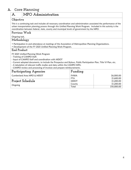# <span id="page-5-0"></span>A. Core Planning

# **A. MPO Administration**

#### **Objective**

This is a continuing task and includes all necessary coordination and administration associated the performance of the urban transportation planning process through this Unified Planning Work Program. Included in this activity is the coordination between federal, state, county and municipal levels of government by the MPO.

#### **Previous Work**

Ongoing task.

## **Methodology**

- Participation in and attendance at meetings of the Association of Metropolitan Planning Organizations.
- Development of the FY 2021 Unified Planning Work Program.

#### **End Product**

FY 2021 Unified Planning Work Program

- Training of CAMPO Staff.
- Input of CAMPO Staff and coordination with MDOT
- Current adopted documents, to include the Prospectus and Bylaws, Public Participation Plan, Title VI Plan, etc.
- A tabulation of relevant traffic studies and data within the CAMPO MPA.
- CAMPO review and processing of invoices and prepare reimbursements.

| Participating Agencies     | Funding     |             |
|----------------------------|-------------|-------------|
| Cumberland Area MPO & MDOT | FHWA        | \$6,000.00  |
|                            | <b>FTA</b>  | \$1,600.00  |
| Project Schedule           | <b>MDOT</b> | \$1,200.00  |
|                            | County      | \$1,200.00  |
| Ongoing                    | Total       | \$10,000.00 |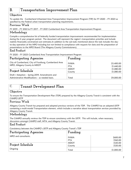# <span id="page-6-0"></span>**B. Transportation Improvement Plan**

## **Objective**

To update the Cumberland Urbanized Area Transportation Improvement Program (TIP) for FY 2020 – FY 2023 as specified by the Federal urban transportation planning requirements.

## **Previous Work**

FY 2019 – FY 2022 & FY 2017 – FY 2021 Cumberland Area Transportation Improvement Program

## **Methodology**

Compile a comprehensive list of federally funded transportation improvements recommended for implementation during the 4 year program period. The document will represent the region's transportation priorities and include realistic financially constrained cost estimates.In addition to the sub-tasks mentioned above this task includes the dayto-day operation of the MPO including but not limited to compliance with requests for data and the preparation of presentations to the MPO Board (The Allegany County Commissioners).

## **End Product**

FY 2020 – FY 2023 Cumberland Area Transportation Improvement Program

| Participating Agencies                                                                            | Funding               |                          |
|---------------------------------------------------------------------------------------------------|-----------------------|--------------------------|
| City of Cumberland, City of Frostburg, Cumberland Area<br>MPO, Allegany County & MDOT             | <b>FHWA</b><br>FTA    | \$5,400.00<br>\$1,440.00 |
| <b>Project Schedule</b>                                                                           | <b>MDOT</b><br>County | \$1,080.00<br>\$1,080.00 |
| Draft / Adoption - Spring 2019. Amendments and<br>Administrative Modifications - as needed basis. | Total                 | \$9,000.00               |

<span id="page-6-1"></span>**C. Transit Development Plan**

#### **Objective**

To ensure the Transportation Development Plan (TDP) prepared by the Allegany County Transit is consistent with the CAMPO LRTP

## **Previous Work**

Allegany County Transit has prepared and adopted previous versions of the TDP. The CAMPO has an adopted LRTP containing a multi-modal Transportation element, which includes a narrative about transportation services provided by Allegany County Transit.

## **Methodology**

The CAMPO annually reviews the TDP to ensure consistency with the LRTP. This will include, when necessary, discussions amongst CAMPO staff, MTA, and Allegany County Transit.

## **End Product**

Consistency between the CAMPO's LRTP and Allegany County Transit's TDP

| Participating Agencies | Funding               |                      |  |  |  |  |  |  |
|------------------------|-----------------------|----------------------|--|--|--|--|--|--|
| MPO and consultants.   | FHWA<br><b>FTA</b>    | \$600.00<br>\$160.00 |  |  |  |  |  |  |
| Project Schedule       | <b>MDOT</b><br>County | \$120.00<br>\$120.00 |  |  |  |  |  |  |
| Ongoing                | Total                 | \$1,000.00           |  |  |  |  |  |  |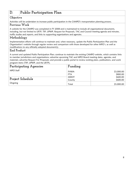# <span id="page-7-0"></span>**D. Public Participation Plan**

## **Objective**

Activities will be undertaken to increase public participation in the CAMPO's transportation planning process.

#### **Previous Work**

A website for the CAMPO was completed in FY 2008 and is maintained to include all organizational documents, including, but not limited to LRTP, TIP, UPWP, Request for Proposals, TAC and Council meeting agenda and minutes, traffic studies and reports, and links to supporting organizations and agencies.

## **Methodology**

Implementation efforts will continue to maintain and, when necessary, update the Public Participation Plan and the Organization's website through regular review and comparison with those developed for other MPO's, as well as modifications to any officially adopted document(s).

#### **End Product**

A current and updated Public Participation Plan; continue to maintain the existing CAMPO website, which contains links to member jurisdictions and organizations; advertise upcoming TAC and MPO Board meeting dates, agendas, and materials; advertise Request For Proposals; and provide a public portal to review existing plans, publications, and work program items (TIP, UPWP, and the LRTP).

| Participating Agencies | Funding               |                        |  |  |  |  |  |
|------------------------|-----------------------|------------------------|--|--|--|--|--|
| MPO Staff              | FHWA<br><b>FTA</b>    | \$3,000.00<br>\$800.00 |  |  |  |  |  |
| Project Schedule       | <b>MDOT</b><br>County | \$600.00<br>\$600.00   |  |  |  |  |  |
| Ongoing                | Total                 | \$5,000.00             |  |  |  |  |  |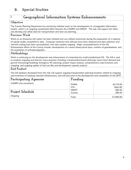# <span id="page-8-1"></span><span id="page-8-0"></span>B. Special Studies

# **1 Geographical Information Systems Enhancements**

#### **Objective**

The County Planning Department has previously initiated work on the development of a Geographic Information System, which is an ongoing coordinated effort between the CAMPO and MDOT. This task will support this effort and develop and utilize data for transportation and land use planning.

#### **Previous Work**

Work on an Enterprise GIS system has been initiated and was utilized extensively during the preparation of a majority of special studies completed to date. Computer hardware and software have been obtained and data collection and network coding have been accomplished, with data updates ongoing. Major accomplishments of the GIS Enhancement efforts of the County include: development of a vector-based parcel layer; creation of geodatabases; and the acquisition of orthophotography.

## **Methodology**

Work is continuing on the development and enhancement of comprehensive multi-jurisdictional GIS. The GIS is used to produce mapping and data for many purposes including: transportation/transit planning; macro-level demand and growth forecasting/modeling; Emergency 911 planning; project impact analysis; comprehensive road inventory and mapping; and ongoing update of land use files and development capacity analysis.

# **End Product**

The GIS database developed from this task will support ongoing transportation planning functions related to mapping and inventory of roadway network infrastructure, and will also assist in the development and completion of the LRTP.

| Participating Agencies | Funding     |            |  |  |  |  |
|------------------------|-------------|------------|--|--|--|--|
| CAMPO and consultants. | <b>FHWA</b> | \$6,174.00 |  |  |  |  |
|                        | <b>FTA</b>  | \$665.00   |  |  |  |  |
|                        | <b>MDOT</b> | \$80.50    |  |  |  |  |
| Project Schedule       | County      | \$80.50    |  |  |  |  |
| Ongoing                | Total       | \$7,000.00 |  |  |  |  |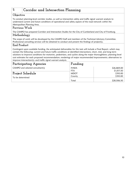# <span id="page-9-0"></span>**2. Corridor and Intersection Planning**

#### **Objective**

To conduct planning-level corridor studies, as well as intersection safety and traffic signal warrant analysis to understand current and future conditions of operational and safety aspects of the road network within the Metropolitan Planning Area.

#### **Previous Work**

The CAMPO has prepared Corridor and Intersection Studies for the City of Cumberland and City of Frostburg.

## **Methodology**

The scope of work will be developed by the CAMPO Staff and members of the Technical Advisory Committee. Professional consulting services will be obtained to conduct and present the findings of project(s).

## **End Product**

Contingent upon available funding, the anticipated deliverables for this task will include a Final Report, which may contain the following: current and future traffic conditions at identified intersections; short, mid, and long-term solutions to improve conditions for motorists, pedestrians, and cyclists along the major thoroughfares; planning-level cost estimates for each proposed recommendation; renderings of major recommended improvements; alternatives to improve intersection(s); and traffic signal warrant analysis.

| <b>Participating Agencies</b>    | Funding     |             |
|----------------------------------|-------------|-------------|
| CAMPO and selected consultant(s) | FHWA        | \$26,869.00 |
|                                  | <b>FTA</b>  | \$1,017.50  |
| Project Schedule                 | <b>MDOT</b> | \$310.00    |
| To be determined                 | County      | \$310.00    |
|                                  | Total       | \$28,506.50 |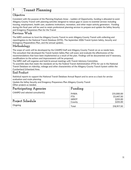# <span id="page-10-0"></span>**3 Transit Planning**

## **Objective**

Consistent with the purpose of the Planning Emphasis Areas – Ladders of Opportunity, funding is allocated to assist Allegany County Transit with planning activities designed to reduce gaps in access to essential services including housing, employment, health care, academic institutions, recreation, and other major activity generators. Funding during this fiscal year will be used to retain professional planning services to prepare and update the Saftey Security and Emegency Prepareness Plan for the Transit

## **Previous Work**

The MPO continues to fund the Allegany County Transit to assist Allegany County Transit with collecting and reportingdata to the National Transit Database (NTD). The September 2006 Transit System Safety, Security and Emergency Preparedness Plan, and the annual updates.

# **Methodology**

The scope of work will be developed by the CAMPO Staff and Allegany County Transit on an as neede basis. The consultant that developed the Transit System Safety Plan will assess and evaluate the effectiveness of the recommendations that have been implemented as a result of the plan. Findings will be documented and if necessary, modifications to the actions and improvements will be proposed.

The MPO staff will organize and hold bi-annual meetings with Transit Advisory Committee.

To assemble data that meets the standards set by the Federal Transit Administration (FTA) for use in the National Transit Database on ridership, mileage and other characteristics of the Allegany County Transit System within the Cumberland Urbanized Area.

# **End Product**

Statistical reports to support the National Transit Database Annual Report and to serve as a basis for service evaluation and route planning.

Update the Saftey Security and Emegency Prepareness Plan Allegany County Transit Other projects as needed.

| Participating Agencies           | Funding                   |                           |  |  |  |  |  |
|----------------------------------|---------------------------|---------------------------|--|--|--|--|--|
| CAMPO and selected consultant(s) | <b>FHWA</b><br><b>FTA</b> | \$15,000.00<br>\$3,447.50 |  |  |  |  |  |
| Project Schedule                 | <b>MDOT</b><br>County     | \$235.00<br>\$235.00      |  |  |  |  |  |
| Ongoing                          | Total                     | \$18,917.50               |  |  |  |  |  |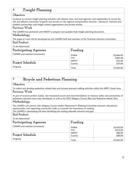# <span id="page-11-0"></span>**4 Freight Planning**

#### **Objective**

Continue to conduct freight planning activities with federal, state, and local agencies; and stakeholders to ensure the safe and efficient movement of goods and services on the regional transportation network. Moreover, maintain and establish partnerships with freight related organizations and private entities.

#### **Previous Work**

The CAMPO has partnered with MDOT to prepare and upadate State freight planning documents.

#### **Methodology**

The scope of work will be developed by the CAMPO Staff and members of the Technical Advisory Committee.

**End Product**

To be determined

| Participating Agencies           | Funding     |            |  |  |  |  |  |
|----------------------------------|-------------|------------|--|--|--|--|--|
| CAMPO and selected consultant(s) | FHWA        | \$2,646.00 |  |  |  |  |  |
|                                  | <b>FTA</b>  | \$285.00   |  |  |  |  |  |
|                                  | <b>MDOT</b> | \$35.00    |  |  |  |  |  |
| <b>Project Schedule</b>          | County      | \$35.00    |  |  |  |  |  |
| Ongoing                          | Total       | \$3,001.00 |  |  |  |  |  |

# <span id="page-11-1"></span>**5 Bicycle and Pedestrian Planning**

#### **Objective**

To collect and develop pedestrian related data and increase planned walking activities within the MPO's Study Area.

#### **Previous Work**

As part of several corridor studies, non-motorized counts and recommendations to improve safety and connectivity of pedestrian networks have been developed, as well as the 2012 Allegany County Bike and Pedesitran Master Plan.

## **Methodology**

The CAMPO will partner with Allegany County Health Department's Walking Committee outreach, educational opportunities, and organizing community walks to promote the importance of walking. The CAMPO is developing GIS data identifying the existing sidewalk network and gaps.

#### **End Product**

| To be determined                |                           |                        |  |  |  |  |  |
|---------------------------------|---------------------------|------------------------|--|--|--|--|--|
| Participating Agencies          | Funding                   |                        |  |  |  |  |  |
| CAMPO and selected consultant(s | <b>FHWA</b><br><b>FTA</b> | \$4,410.00<br>\$475.00 |  |  |  |  |  |
| <b>Project Schedule</b>         | <b>MDOT</b><br>County     | \$88.00<br>\$88.00     |  |  |  |  |  |
| Ongoing                         | Total                     | \$5,061.00             |  |  |  |  |  |